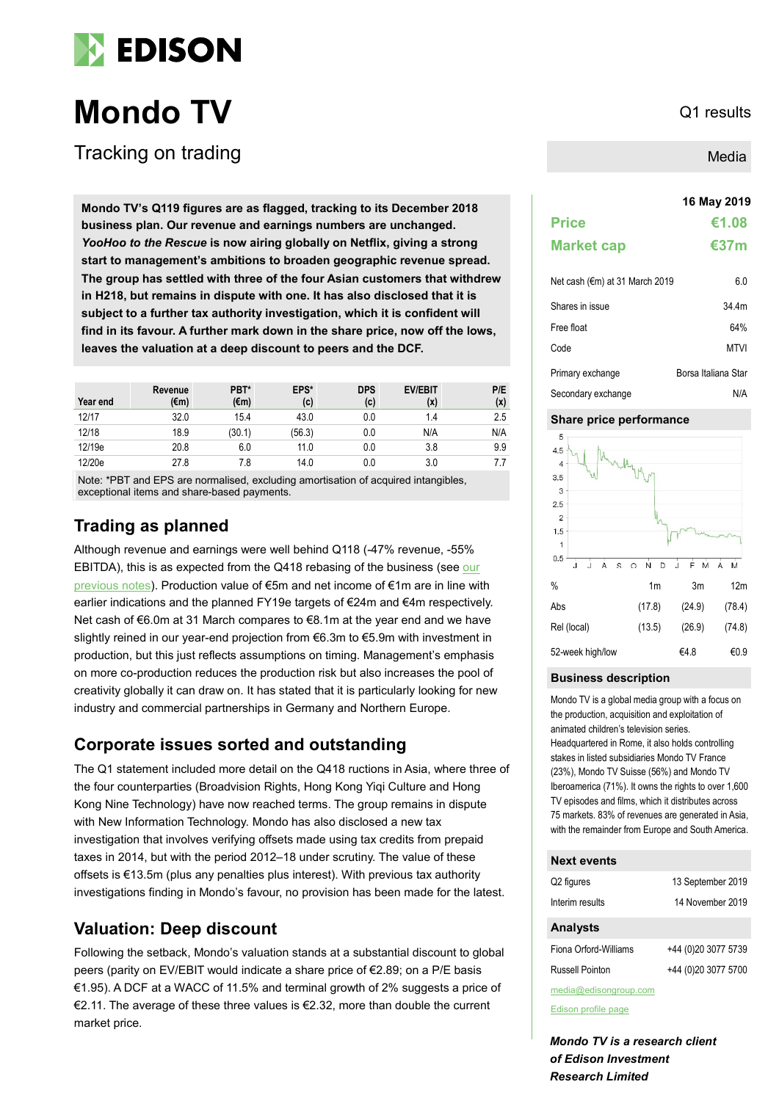

# **Mondo TV** Q1 results

Tracking on trading

**16 May 2019 Mondo TV's Q119 figures are as flagged, tracking to its December 2018 business plan. Our revenue and earnings numbers are unchanged.**  *YooHoo to the Rescue* **is now airing globally on Netflix, giving a strong start to management's ambitions to broaden geographic revenue spread. The group has settled with three of the four Asian customers that withdrew in H218, but remains in dispute with one. It has also disclosed that it is subject to a further tax authority investigation, which it is confident will find in its favour. A further mark down in the share price, now off the lows, leaves the valuation at a deep discount to peers and the DCF.** 

| Year end | Revenue<br>(€m) | PBT*<br>(€m) | EPS*<br>(c) | <b>DPS</b><br>(c) | <b>EV/EBIT</b><br>(x) | P/E<br>(x) |
|----------|-----------------|--------------|-------------|-------------------|-----------------------|------------|
| 12/17    | 32.0            | 15.4         | 43.0        | 0.0               | 1.4                   | 2.5        |
| 12/18    | 18.9            | (30.1)       | (56.3)      | 0.0               | N/A                   | N/A        |
| 12/19e   | 20.8            | 6.0          | 11.0        | 0.0               | 3.8                   | 9.9        |
| 12/20e   | 27.8            | 7.8          | 14.0        | 0.0               | 3.0                   |            |

Note: \*PBT and EPS are normalised, excluding amortisation of acquired intangibles, exceptional items and share-based payments.

# **Trading as planned**

Although revenue and earnings were well behind Q118 (-47% revenue, -55% EBITDA), this is as expected from the Q418 rebasing of the business (see [our](https://www.edisongroup.com/company/mondo-tv/1091/)  [previous notes\)](https://www.edisongroup.com/company/mondo-tv/1091/). Production value of €5m and net income of €1m are in line with earlier indications and the planned FY19e targets of €24m and €4m respectively. Net cash of €6.0m at 31 March compares to €8.1m at the year end and we have slightly reined in our year-end projection from €6.3m to €5.9m with investment in production, but this just reflects assumptions on timing. Management's emphasis on more co-production reduces the production risk but also increases the pool of creativity globally it can draw on. It has stated that it is particularly looking for new industry and commercial partnerships in Germany and Northern Europe.

# **Corporate issues sorted and outstanding**

The Q1 statement included more detail on the Q418 ructions in Asia, where three of the four counterparties (Broadvision Rights, Hong Kong Yiqi Culture and Hong Kong Nine Technology) have now reached terms. The group remains in dispute with New Information Technology. Mondo has also disclosed a new tax investigation that involves verifying offsets made using tax credits from prepaid taxes in 2014, but with the period 2012–18 under scrutiny. The value of these offsets is €13.5m (plus any penalties plus interest). With previous tax authority investigations finding in Mondo's favour, no provision has been made for the latest.

# **Valuation: Deep discount**

Following the setback, Mondo's valuation stands at a substantial discount to global peers (parity on EV/EBIT would indicate a share price of €2.89; on a P/E basis €1.95). A DCF at a WACC of 11.5% and terminal growth of 2% suggests a price of €2.11. The average of these three values is €2.32, more than double the current market price.

Media

|                   | 16 May 2019 |
|-------------------|-------------|
| <b>Price</b>      | €1.08       |
| <b>Market cap</b> | €37 $m$     |
|                   |             |

| Net cash (€m) at 31 March 2019 | 6.0                 |
|--------------------------------|---------------------|
| Shares in issue                | 34.4m               |
| Free float                     | 64%                 |
| Code                           | MTVI                |
| Primary exchange               | Borsa Italiana Star |
| Secondary exchange             | N/A                 |

### **Share price performance**



### **Business description**

Mondo TV is a global media group with a focus on the production, acquisition and exploitation of animated children's television series. Headquartered in Rome, it also holds controlling stakes in listed subsidiaries Mondo TV France (23%), Mondo TV Suisse (56%) and Mondo TV Iberoamerica (71%). It owns the rights to over 1,600 TV episodes and films, which it distributes across 75 markets. 83% of revenues are generated in Asia, with the remainder from Europe and South America.

### **Next events**

| Q <sub>2</sub> figures | 13 September 2019   |
|------------------------|---------------------|
| Interim results        | 14 November 2019    |
| <b>Analysts</b>        |                     |
| Fiona Orford-Williams  | +44 (0)20 3077 5739 |
| Russell Pointon        | +44 (0)20 3077 5700 |
| media@edisongroup.com  |                     |

[Edison profile page](https://www.edisongroup.com/company/mondo-tv/1091/)

*Mondo TV is a research client of Edison Investment Research Limited*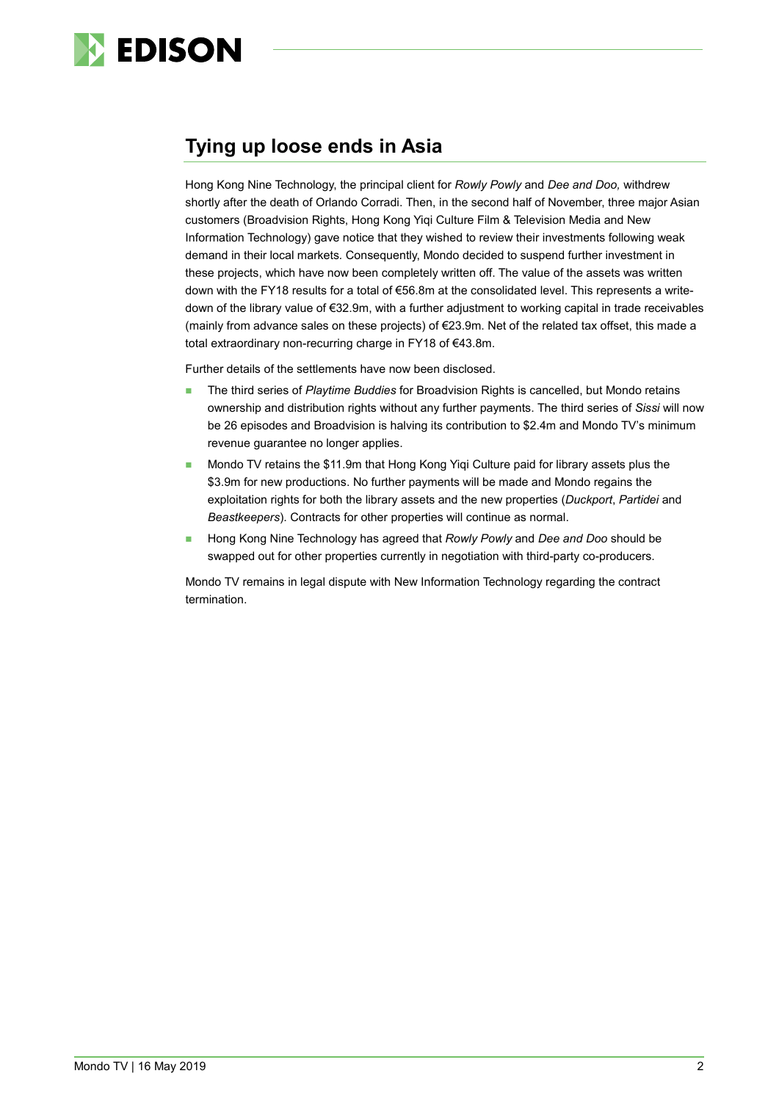

# **Tying up loose ends in Asia**

Hong Kong Nine Technology, the principal client for *Rowly Powly* and *Dee and Doo,* withdrew shortly after the death of Orlando Corradi. Then, in the second half of November, three major Asian customers (Broadvision Rights, Hong Kong Yiqi Culture Film & Television Media and New Information Technology) gave notice that they wished to review their investments following weak demand in their local markets*.* Consequently, Mondo decided to suspend further investment in these projects, which have now been completely written off. The value of the assets was written down with the FY18 results for a total of €56.8m at the consolidated level. This represents a writedown of the library value of €32.9m, with a further adjustment to working capital in trade receivables (mainly from advance sales on these projects) of €23.9m. Net of the related tax offset, this made a total extraordinary non-recurring charge in FY18 of €43.8m.

Further details of the settlements have now been disclosed.

- **The third series of Playtime Buddies for Broadvision Rights is cancelled, but Mondo retains** ownership and distribution rights without any further payments. The third series of *Sissi* will now be 26 episodes and Broadvision is halving its contribution to \$2.4m and Mondo TV's minimum revenue guarantee no longer applies.
- Mondo TV retains the \$11.9m that Hong Kong Yiqi Culture paid for library assets plus the \$3.9m for new productions. No further payments will be made and Mondo regains the exploitation rights for both the library assets and the new properties (*Duckport*, *Partidei* and *Beastkeepers*). Contracts for other properties will continue as normal.
- Hong Kong Nine Technology has agreed that *Rowly Powly* and *Dee and Doo* should be swapped out for other properties currently in negotiation with third-party co-producers.

Mondo TV remains in legal dispute with New Information Technology regarding the contract termination.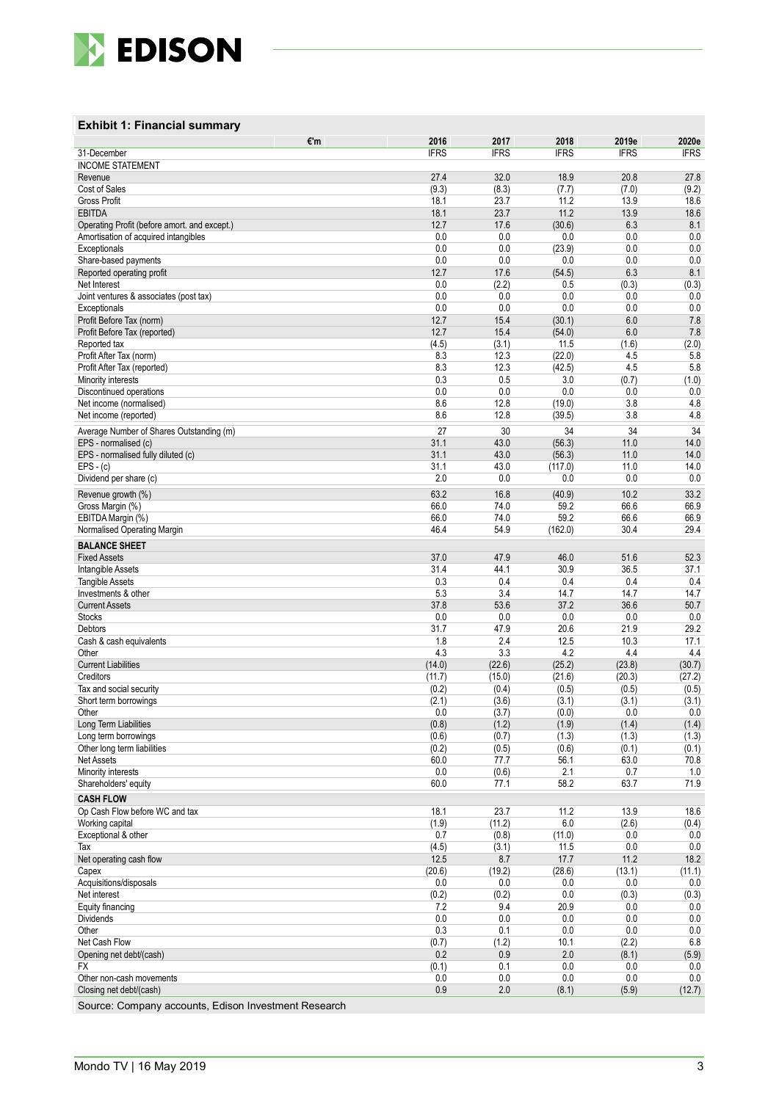

### **Exhibit 1: Financial summary**

| €'m                                                  | 2016           | 2017           | 2018           | 2019e          | 2020e          |
|------------------------------------------------------|----------------|----------------|----------------|----------------|----------------|
| 31-December                                          | <b>IFRS</b>    | <b>IFRS</b>    | <b>IFRS</b>    | <b>IFRS</b>    | <b>IFRS</b>    |
| <b>INCOME STATEMENT</b><br>Revenue                   | 27.4           | 32.0           | 18.9           | 20.8           | 27.8           |
| Cost of Sales                                        | (9.3)          | (8.3)          | (7.7)          | (7.0)          | (9.2)          |
| <b>Gross Profit</b>                                  | 18.1           | 23.7           | 11.2           | 13.9           | 18.6           |
| <b>EBITDA</b>                                        | 18.1           | 23.7           | 11.2           | 13.9           | 18.6           |
| Operating Profit (before amort. and except.)         | 12.7           | 17.6           | (30.6)         | 6.3            | 8.1            |
| Amortisation of acquired intangibles<br>Exceptionals | 0.0<br>0.0     | 0.0<br>0.0     | 0.0<br>(23.9)  | 0.0<br>0.0     | 0.0<br>0.0     |
| Share-based payments                                 | 0.0            | 0.0            | 0.0            | 0.0            | 0.0            |
| Reported operating profit                            | 12.7           | 17.6           | (54.5)         | 6.3            | 8.1            |
| Net Interest                                         | 0.0            | (2.2)          | 0.5            | (0.3)          | (0.3)          |
| Joint ventures & associates (post tax)               | 0.0            | 0.0<br>0.0     | 0.0<br>0.0     | 0.0<br>0.0     | 0.0            |
| Exceptionals<br>Profit Before Tax (norm)             | 0.0<br>12.7    | 15.4           | (30.1)         | 6.0            | 0.0<br>7.8     |
| Profit Before Tax (reported)                         | 12.7           | 15.4           | (54.0)         | 6.0            | 7.8            |
| Reported tax                                         | (4.5)          | (3.1)          | 11.5           | (1.6)          | (2.0)          |
| Profit After Tax (norm)                              | 8.3            | 12.3           | (22.0)         | 4.5            | 5.8            |
| Profit After Tax (reported)                          | 8.3<br>0.3     | 12.3<br>0.5    | (42.5)<br>3.0  | 4.5<br>(0.7)   | 5.8<br>(1.0)   |
| Minority interests<br>Discontinued operations        | 0.0            | 0.0            | 0.0            | 0.0            | 0.0            |
| Net income (normalised)                              | 8.6            | 12.8           | (19.0)         | 3.8            | 4.8            |
| Net income (reported)                                | 8.6            | 12.8           | (39.5)         | 3.8            | 4.8            |
| Average Number of Shares Outstanding (m)             | 27             | 30             | 34             | 34             | 34             |
| EPS - normalised (c)                                 | 31.1           | 43.0           | (56.3)         | 11.0           | 14.0           |
| EPS - normalised fully diluted (c)                   | 31.1           | 43.0           | (56.3)         | 11.0           | 14.0           |
| $EPS - (c)$<br>Dividend per share (c)                | 31.1<br>2.0    | 43.0<br>0.0    | (117.0)<br>0.0 | 11.0<br>0.0    | 14.0<br>0.0    |
| Revenue growth (%)                                   | 63.2           | 16.8           | (40.9)         | 10.2           | 33.2           |
| Gross Margin (%)                                     | 66.0           | 74.0           | 59.2           | 66.6           | 66.9           |
| EBITDA Margin (%)                                    | 66.0           | 74.0           | 59.2           | 66.6           | 66.9           |
| Normalised Operating Margin                          | 46.4           | 54.9           | (162.0)        | 30.4           | 29.4           |
| <b>BALANCE SHEET</b>                                 |                |                |                |                |                |
| <b>Fixed Assets</b>                                  | 37.0           | 47.9           | 46.0           | 51.6           | 52.3           |
| Intangible Assets<br><b>Tangible Assets</b>          | 31.4<br>0.3    | 44.1<br>0.4    | 30.9<br>0.4    | 36.5<br>0.4    | 37.1<br>0.4    |
| Investments & other                                  | 5.3            | 3.4            | 14.7           | 14.7           | 14.7           |
| <b>Current Assets</b>                                | 37.8           | 53.6           | 37.2           | 36.6           | 50.7           |
| <b>Stocks</b>                                        | 0.0            | 0.0            | 0.0            | 0.0            | 0.0            |
| Debtors<br>Cash & cash equivalents                   | 31.7<br>1.8    | 47.9<br>2.4    | 20.6<br>12.5   | 21.9<br>10.3   | 29.2<br>17.1   |
| Other                                                | 4.3            | 3.3            | 4.2            | 4.4            | 4.4            |
| <b>Current Liabilities</b>                           | (14.0)         | (22.6)         | (25.2)         | (23.8)         | (30.7)         |
| Creditors                                            | (11.7)         | (15.0)         | (21.6)         | (20.3)         | (27.2)         |
| Tax and social security                              | (0.2)<br>(2.1) | (0.4)<br>(3.6) | (0.5)<br>(3.1) | (0.5)<br>(3.1) | (0.5)<br>(3.1) |
| Short term borrowings<br>Other                       | 0.0            | (3.7)          | (0.0)          | 0.0            | 0.0            |
| Long Term Liabilities                                | (0.8)          | (1.2)          | (1.9)          | (1.4)          | (1.4)          |
| Long term borrowings                                 | (0.6)          | (0.7)          | (1.3)          | (1.3)          | (1.3)          |
| Other long term liabilities                          | (0.2)          | (0.5)          | (0.6)          | (0.1)          | (0.1)          |
| Net Assets<br>Minority interests                     | 60.0<br>0.0    | 77.7<br>(0.6)  | 56.1<br>2.1    | 63.0<br>0.7    | 70.8<br>1.0    |
| Shareholders' equity                                 | 60.0           | 77.1           | 58.2           | 63.7           | 71.9           |
| <b>CASH FLOW</b>                                     |                |                |                |                |                |
| Op Cash Flow before WC and tax                       | 18.1           | 23.7           | 11.2           | 13.9           | 18.6           |
| Working capital                                      | (1.9)          | (11.2)         | 6.0            | (2.6)          | (0.4)          |
| Exceptional & other                                  | 0.7            | (0.8)          | (11.0)         | 0.0            | 0.0            |
| Tax<br>Net operating cash flow                       | (4.5)<br>12.5  | (3.1)<br>8.7   | 11.5<br>17.7   | 0.0<br>11.2    | 0.0<br>18.2    |
| Capex                                                | (20.6)         | (19.2)         | (28.6)         | (13.1)         | (11.1)         |
| Acquisitions/disposals                               | 0.0            | 0.0            | 0.0            | 0.0            | 0.0            |
| Net interest                                         | (0.2)          | (0.2)          | 0.0            | (0.3)          | (0.3)          |
| Equity financing<br>Dividends                        | 7.2<br>0.0     | 9.4<br>0.0     | 20.9<br>0.0    | 0.0<br>0.0     | 0.0<br>0.0     |
| Other                                                | 0.3            | 0.1            | 0.0            | 0.0            | 0.0            |
| Net Cash Flow                                        | (0.7)          | (1.2)          | 10.1           | (2.2)          | $6.8\,$        |
| Opening net debt/(cash)                              | 0.2            | 0.9            | 2.0            | (8.1)          | (5.9)          |
| FX                                                   | (0.1)<br>0.0   | 0.1<br>0.0     | 0.0<br>0.0     | 0.0<br>0.0     | 0.0<br>0.0     |
| Other non-cash movements<br>Closing net debt/(cash)  | 0.9            | $2.0\,$        | (8.1)          | (5.9)          | (12.7)         |
|                                                      |                |                |                |                |                |

Source: Company accounts, Edison Investment Research